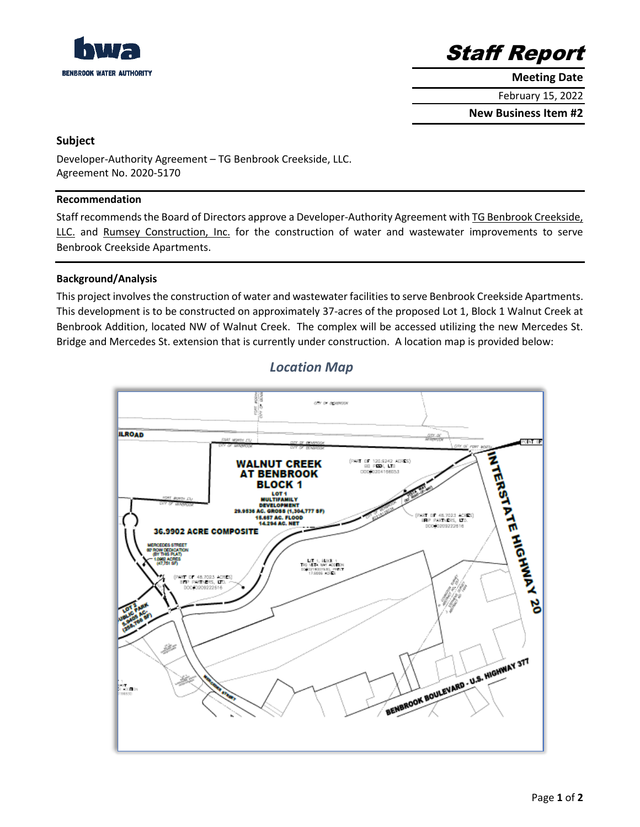



**Meeting Date**

February 15, 2022

**New Business Item #2**

## **Subject**

Developer-Authority Agreement – TG Benbrook Creekside, LLC. Agreement No. 2020-5170

#### **Recommendation**

Staff recommends the Board of Directors approve a Developer-Authority Agreement with TG Benbrook Creekside, LLC. and Rumsey Construction, Inc. for the construction of water and wastewater improvements to serve Benbrook Creekside Apartments.

### **Background/Analysis**

This project involves the construction of water and wastewater facilities to serve Benbrook Creekside Apartments. This development is to be constructed on approximately 37-acres of the proposed Lot 1, Block 1 Walnut Creek at Benbrook Addition, located NW of Walnut Creek. The complex will be accessed utilizing the new Mercedes St. Bridge and Mercedes St. extension that is currently under construction. A location map is provided below:



# *Location Map*